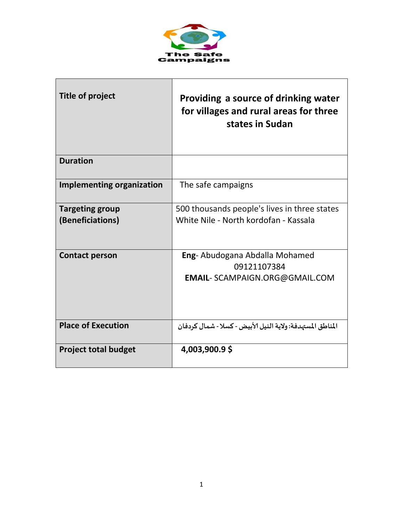

| Title of project                           | Providing a source of drinking water<br>for villages and rural areas for three<br>states in Sudan |
|--------------------------------------------|---------------------------------------------------------------------------------------------------|
| <b>Duration</b>                            |                                                                                                   |
| <b>Implementing organization</b>           | The safe campaigns                                                                                |
| <b>Targeting group</b><br>(Beneficiations) | 500 thousands people's lives in three states<br>White Nile - North kordofan - Kassala             |
| <b>Contact person</b>                      | Eng- Abudogana Abdalla Mohamed<br>09121107384<br><b>EMAIL- SCAMPAIGN.ORG@GMAIL.COM</b>            |
| <b>Place of Execution</b>                  | المناطق المستهدفة: ولاية النيل الأبيض - كسلا - شمال كردفان                                        |
| <b>Project total budget</b>                | 4,003,900.9\$                                                                                     |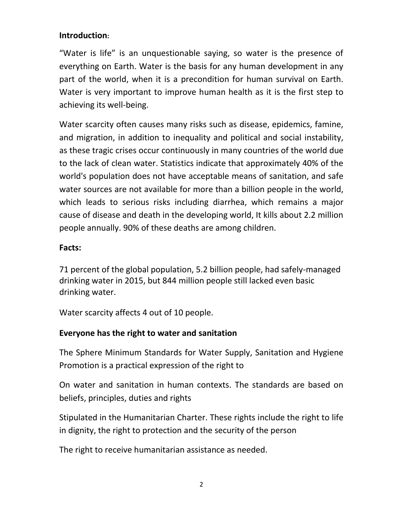## **Introduction:**

"Water is life" is an unquestionable saying, so water is the presence of everything on Earth. Water is the basis for any human development in any part of the world, when it is a precondition for human survival on Earth. Water is very important to improve human health as it is the first step to achieving its well-being.

Water scarcity often causes many risks such as disease, epidemics, famine, and migration, in addition to inequality and political and social instability, as these tragic crises occur continuously in many countries of the world due to the lack of clean water. Statistics indicate that approximately 40% of the world's population does not have acceptable means of sanitation, and safe water sources are not available for more than a billion people in the world, which leads to serious risks including diarrhea, which remains a major cause of disease and death in the developing world, It kills about 2.2 million people annually. 90% of these deaths are among children.

## **Facts:**

71 percent of the global population, 5.2 billion people, had safely-managed drinking water in 2015, but 844 million people still lacked even basic drinking water.

Water scarcity affects 4 out of 10 people.

# **Everyone has the right to water and sanitation**

The Sphere Minimum Standards for Water Supply, Sanitation and Hygiene Promotion is a practical expression of the right to

On water and sanitation in human contexts. The standards are based on beliefs, principles, duties and rights

Stipulated in the Humanitarian Charter. These rights include the right to life in dignity, the right to protection and the security of the person

The right to receive humanitarian assistance as needed.